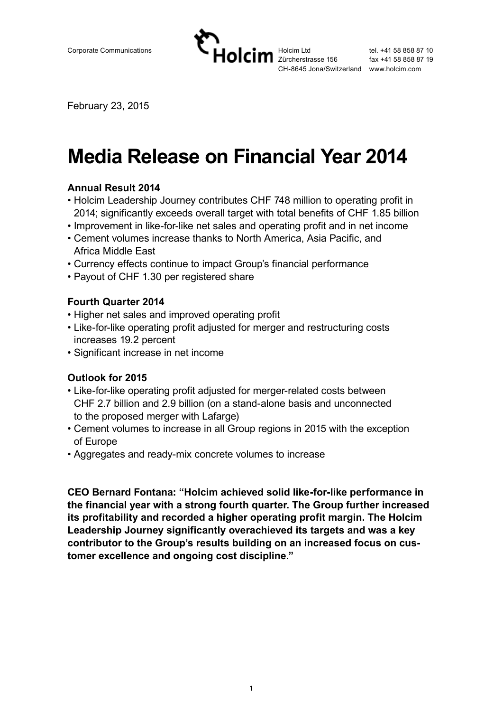

February 23, 2015

# **Media Release on Financial Year 2014**

#### **Annual Result 2014**

- Holcim Leadership Journey contributes CHF 748 million to operating profit in 2014; significantly exceeds overall target with total benefits of CHF 1.85 billion
- Improvement in like-for-like net sales and operating profit and in net income
- Cement volumes increase thanks to North America, Asia Pacific, and Africa Middle East
- Currency effects continue to impact Group's financial performance
- Payout of CHF 1.30 per registered share

#### **Fourth Quarter 2014**

- Higher net sales and improved operating profit
- Like-for-like operating profit adjusted for merger and restructuring costs increases 19.2 percent
- Significant increase in net income

## **Outlook for 2015**

- Like-for-like operating profit adjusted for merger-related costs between CHF 2.7 billion and 2.9 billion (on a stand-alone basis and unconnected to the proposed merger with Lafarge)
- Cement volumes to increase in all Group regions in 2015 with the exception of Europe
- Aggregates and ready-mix concrete volumes to increase

**CEO Bernard Fontana: "Holcim achieved solid like-for-like performance in the financial year with a strong fourth quarter. The Group further increased its profitability and recorded a higher operating profit margin. The Holcim Leadership Journey significantly overachieved its targets and was a key contributor to the Group's results building on an increased focus on customer excellence and ongoing cost discipline."**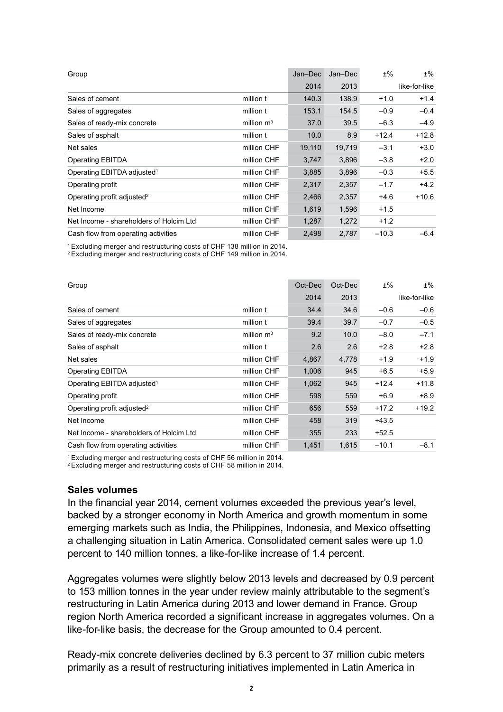| Group                                   |              | Jan-Dec | Jan-Dec | $±\%$   | $±\%$         |
|-----------------------------------------|--------------|---------|---------|---------|---------------|
|                                         |              | 2014    | 2013    |         | like-for-like |
| Sales of cement                         | million t    | 140.3   | 138.9   | $+1.0$  | $+1.4$        |
| Sales of aggregates                     | million t    | 153.1   | 154.5   | $-0.9$  | $-0.4$        |
| Sales of ready-mix concrete             | million $m3$ | 37.0    | 39.5    | $-6.3$  | $-4.9$        |
| Sales of asphalt                        | million t    | 10.0    | 8.9     | $+12.4$ | $+12.8$       |
| Net sales                               | million CHF  | 19,110  | 19,719  | $-3.1$  | $+3.0$        |
| <b>Operating EBITDA</b>                 | million CHF  | 3,747   | 3,896   | $-3.8$  | $+2.0$        |
| Operating EBITDA adjusted <sup>1</sup>  | million CHF  | 3,885   | 3,896   | $-0.3$  | $+5.5$        |
| Operating profit                        | million CHF  | 2,317   | 2,357   | $-1.7$  | $+4.2$        |
| Operating profit adjusted <sup>2</sup>  | million CHF  | 2,466   | 2,357   | $+4.6$  | $+10.6$       |
| Net Income                              | million CHF  | 1,619   | 1,596   | $+1.5$  |               |
| Net Income - shareholders of Holcim Ltd | million CHF  | 1,287   | 1,272   | $+1.2$  |               |
| Cash flow from operating activities     | million CHF  | 2,498   | 2,787   | $-10.3$ | $-6.4$        |

<sup>1</sup> Excluding merger and restructuring costs of CHF 138 million in 2014.

<sup>2</sup> Excluding merger and restructuring costs of CHF 149 million in 2014.

| Group                                   |              | Oct-Dec | Oct-Dec | $±\%$   | ±%            |
|-----------------------------------------|--------------|---------|---------|---------|---------------|
|                                         |              | 2014    | 2013    |         | like-for-like |
| Sales of cement                         | million t    | 34.4    | 34.6    | $-0.6$  | $-0.6$        |
| Sales of aggregates                     | million t    | 39.4    | 39.7    | $-0.7$  | $-0.5$        |
| Sales of ready-mix concrete             | million $m3$ | 9.2     | 10.0    | $-8.0$  | $-7.1$        |
| Sales of asphalt                        | million t    | 2.6     | 2.6     | $+2.8$  | $+2.8$        |
| Net sales                               | million CHF  | 4,867   | 4,778   | $+1.9$  | $+1.9$        |
| Operating EBITDA                        | million CHF  | 1,006   | 945     | $+6.5$  | $+5.9$        |
| Operating EBITDA adjusted <sup>1</sup>  | million CHF  | 1,062   | 945     | $+12.4$ | $+11.8$       |
| Operating profit                        | million CHF  | 598     | 559     | $+6.9$  | $+8.9$        |
| Operating profit adjusted <sup>2</sup>  | million CHF  | 656     | 559     | $+17.2$ | $+19.2$       |
| Net Income                              | million CHF  | 458     | 319     | +43.5   |               |
| Net Income - shareholders of Holcim Ltd | million CHF  | 355     | 233     | $+52.5$ |               |
| Cash flow from operating activities     | million CHF  | 1,451   | 1,615   | $-10.1$ | $-8.1$        |

<sup>1</sup> Excluding merger and restructuring costs of CHF 56 million in 2014.

<sup>2</sup> Excluding merger and restructuring costs of CHF 58 million in 2014.

#### **Sales volumes**

In the financial year 2014, cement volumes exceeded the previous year's level, backed by a stronger economy in North America and growth momentum in some emerging markets such as India, the Philippines, Indonesia, and Mexico offsetting a challenging situation in Latin America. Consolidated cement sales were up 1.0 percent to 140 million tonnes, a like-for-like increase of 1.4 percent.

Aggregates volumes were slightly below 2013 levels and decreased by 0.9 percent to 153 million tonnes in the year under review mainly attributable to the segment's restructuring in Latin America during 2013 and lower demand in France. Group region North America recorded a significant increase in aggregates volumes. On a like-for-like basis, the decrease for the Group amounted to 0.4 percent.

Ready-mix concrete deliveries declined by 6.3 percent to 37 million cubic meters primarily as a result of restructuring initiatives implemented in Latin America in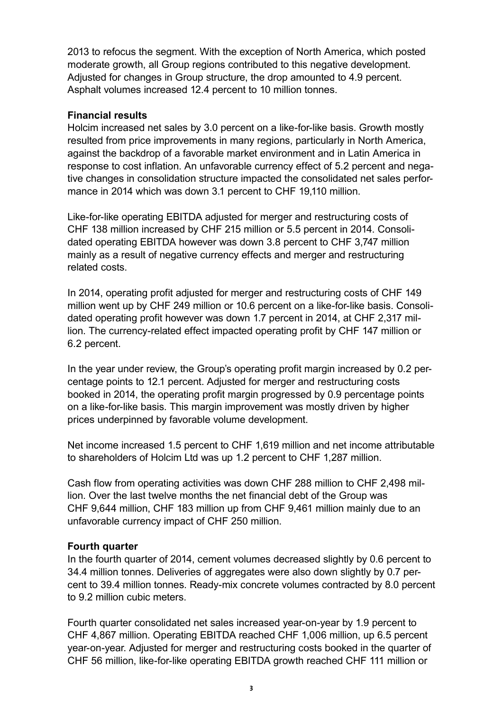2013 to refocus the segment. With the exception of North America, which posted moderate growth, all Group regions contributed to this negative development. Adjusted for changes in Group structure, the drop amounted to 4.9 percent. Asphalt volumes increased 12.4 percent to 10 million tonnes.

#### **Financial results**

Holcim increased net sales by 3.0 percent on a like-for-like basis. Growth mostly resulted from price improvements in many regions, particularly in North America, against the backdrop of a favorable market environment and in Latin America in response to cost inflation. An unfavorable currency effect of 5.2 percent and negative changes in consolidation structure impacted the consolidated net sales performance in 2014 which was down 3.1 percent to CHF 19,110 million.

Like-for-like operating EBITDA adjusted for merger and restructuring costs of CHF 138 million increased by CHF 215 million or 5.5 percent in 2014. Consolidated operating EBITDA however was down 3.8 percent to CHF 3,747 million mainly as a result of negative currency effects and merger and restructuring related costs.

In 2014, operating profit adjusted for merger and restructuring costs of CHF 149 million went up by CHF 249 million or 10.6 percent on a like-for-like basis. Consolidated operating profit however was down 1.7 percent in 2014, at CHF 2,317 million. The currency-related effect impacted operating profit by CHF 147 million or 6.2 percent.

In the year under review, the Group's operating profit margin increased by 0.2 percentage points to 12.1 percent. Adjusted for merger and restructuring costs booked in 2014, the operating profit margin progressed by 0.9 percentage points on a like-for-like basis. This margin improvement was mostly driven by higher prices underpinned by favorable volume development.

Net income increased 1.5 percent to CHF 1,619 million and net income attributable to shareholders of Holcim Ltd was up 1.2 percent to CHF 1,287 million.

Cash flow from operating activities was down CHF 288 million to CHF 2,498 million. Over the last twelve months the net financial debt of the Group was CHF 9,644 million, CHF 183 million up from CHF 9,461 million mainly due to an unfavorable currency impact of CHF 250 million.

#### **Fourth quarter**

In the fourth quarter of 2014, cement volumes decreased slightly by 0.6 percent to 34.4 million tonnes. Deliveries of aggregates were also down slightly by 0.7 percent to 39.4 million tonnes. Ready-mix concrete volumes contracted by 8.0 percent to 9.2 million cubic meters.

Fourth quarter consolidated net sales increased year-on-year by 1.9 percent to CHF 4,867 million. Operating EBITDA reached CHF 1,006 million, up 6.5 percent year-on-year. Adjusted for merger and restructuring costs booked in the quarter of CHF 56 million, like-for-like operating EBITDA growth reached CHF 111 million or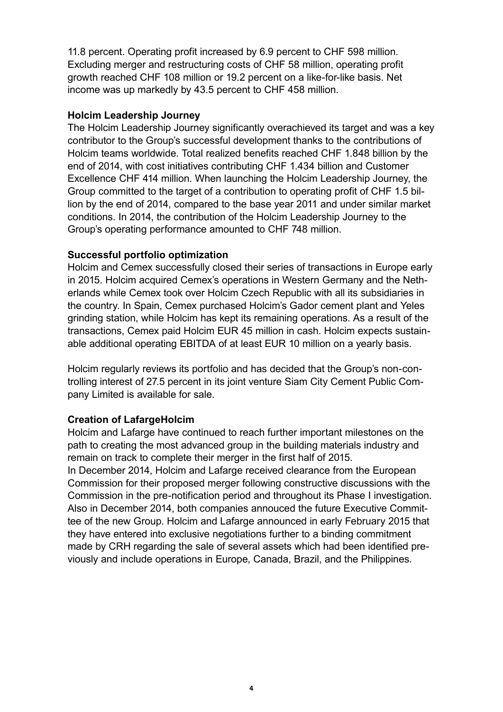11.8 percent. Operating profit increased by 6.9 percent to CHF 598 million. Excluding merger and restructuring costs of CHF 58 million, operating profit growth reached CHF 108 million or 19.2 percent on a like-for-like basis. Net income was up markedly by 43.5 percent to CHF 458 million.

#### **Holcim Leadership Journey**

The Holcim Leadership Journey significantly overachieved its target and was a key contributor to the Group's successful development thanks to the contributions of Holcim teams worldwide. Total realized benefits reached CHF 1.848 billion by the end of 2014, with cost initiatives contributing CHF 1.434 billion and Customer Excellence CHF 414 million. When launching the Holcim Leadership Journey, the Group committed to the target of a contribution to operating profit of CHF 1.5 billion by the end of 2014, compared to the base year 2011 and under similar market conditions. In 2014, the contribution of the Holcim Leadership Journey to the Group's operating performance amounted to CHF 748 million.

#### **Successful portfolio optimization**

Holcim and Cemex successfully closed their series of transactions in Europe early in 2015. Holcim acquired Cemex's operations in Western Germany and the Netherlands while Cemex took over Holcim Czech Republic with all its subsidiaries in the country. In Spain, Cemex purchased Holcim's Gador cement plant and Yeles grinding station, while Holcim has kept its remaining operations. As a result of the transactions, Cemex paid Holcim EUR 45 million in cash. Holcim expects sustainable additional operating EBITDA of at least EUR 10 million on a yearly basis.

Holcim regularly reviews its portfolio and has decided that the Group's non-controlling interest of 27.5 percent in its joint venture Siam City Cement Public Company Limited is available for sale.

## **Creation of LafargeHolcim**

Holcim and Lafarge have continued to reach further important milestones on the path to creating the most advanced group in the building materials industry and remain on track to complete their merger in the first half of 2015. In December 2014, Holcim and Lafarge received clearance from the European Commission for their proposed merger following constructive discussions with the Commission in the pre-notification period and throughout its Phase I investigation. Also in December 2014, both companies annouced the future Executive Committee of the new Group. Holcim and Lafarge announced in early February 2015 that they have entered into exclusive negotiations further to a binding commitment made by CRH regarding the sale of several assets which had been identified previously and include operations in Europe, Canada, Brazil, and the Philippines.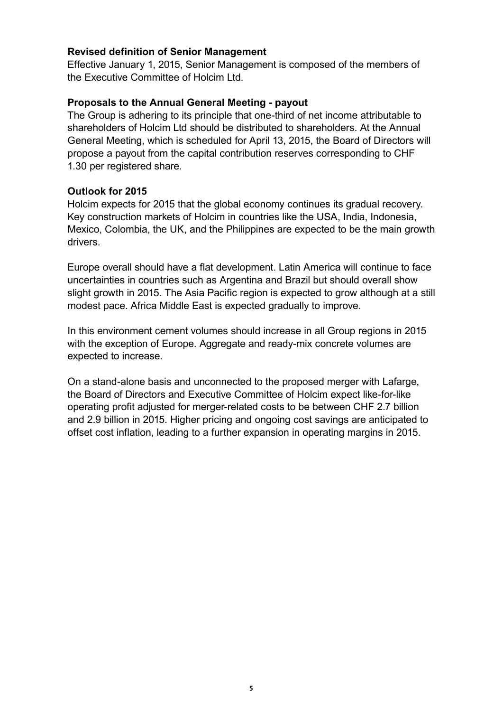#### **Revised definition of Senior Management**

Effective January 1, 2015, Senior Management is composed of the members of the Executive Committee of Holcim Ltd.

#### **Proposals to the Annual General Meeting - payout**

The Group is adhering to its principle that one-third of net income attributable to shareholders of Holcim Ltd should be distributed to shareholders. At the Annual General Meeting, which is scheduled for April 13, 2015, the Board of Directors will propose a payout from the capital contribution reserves corresponding to CHF 1.30 per registered share.

#### **Outlook for 2015**

Holcim expects for 2015 that the global economy continues its gradual recovery. Key construction markets of Holcim in countries like the USA, India, Indonesia, Mexico, Colombia, the UK, and the Philippines are expected to be the main growth drivers.

Europe overall should have a flat development. Latin America will continue to face uncertainties in countries such as Argentina and Brazil but should overall show slight growth in 2015. The Asia Pacific region is expected to grow although at a still modest pace. Africa Middle East is expected gradually to improve.

In this environment cement volumes should increase in all Group regions in 2015 with the exception of Europe. Aggregate and ready-mix concrete volumes are expected to increase.

On a stand-alone basis and unconnected to the proposed merger with Lafarge, the Board of Directors and Executive Committee of Holcim expect like-for-like operating profit adjusted for merger-related costs to be between CHF 2.7 billion and 2.9 billion in 2015. Higher pricing and ongoing cost savings are anticipated to offset cost inflation, leading to a further expansion in operating margins in 2015.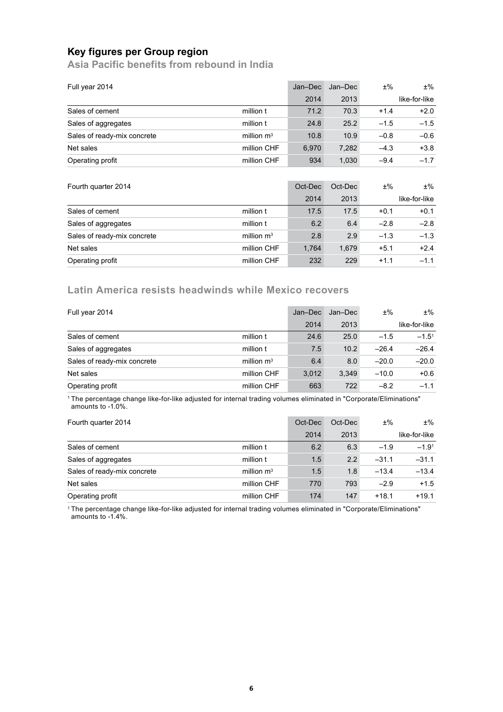## **Key figures per Group region**

**Asia Pacific benefits from rebound in India** 

| Full year 2014              |              | Jan-Dec | Jan-Dec | $±\%$  | $±\%$         |
|-----------------------------|--------------|---------|---------|--------|---------------|
|                             |              | 2014    | 2013    |        | like-for-like |
| Sales of cement             | million t    | 71.2    | 70.3    | $+1.4$ | $+2.0$        |
| Sales of aggregates         | million t    | 24.8    | 25.2    | $-1.5$ | $-1.5$        |
| Sales of ready-mix concrete | million $m3$ | 10.8    | 10.9    | $-0.8$ | $-0.6$        |
| Net sales                   | million CHF  | 6.970   | 7.282   | $-4.3$ | $+3.8$        |
| Operating profit            | million CHF  | 934     | 1,030   | $-9.4$ | $-1.7$        |

| Fourth quarter 2014         |              | Oct-Dec | Oct-Dec | $±\%$  | $±\%$         |
|-----------------------------|--------------|---------|---------|--------|---------------|
|                             |              | 2014    | 2013    |        | like-for-like |
| Sales of cement             | million t    | 17.5    | 17.5    | $+0.1$ | $+0.1$        |
| Sales of aggregates         | million t    | 6.2     | 6.4     | $-2.8$ | $-2.8$        |
| Sales of ready-mix concrete | million $m3$ | 2.8     | 2.9     | $-1.3$ | $-1.3$        |
| Net sales                   | million CHF  | 1.764   | 1.679   | $+5.1$ | $+2.4$        |
| Operating profit            | million CHF  | 232     | 229     | $+1.1$ | $-1.1$        |

## **Latin America resists headwinds while Mexico recovers**

| Full year 2014              |              | Jan-Dec | Jan-Dec | $±\%$   | $±\%$         |
|-----------------------------|--------------|---------|---------|---------|---------------|
|                             |              | 2014    | 2013    |         | like-for-like |
| Sales of cement             | million t    | 24.6    | 25.0    | $-1.5$  | $-1.5^{1}$    |
| Sales of aggregates         | million t    | 7.5     | 10.2    | $-26.4$ | $-26.4$       |
| Sales of ready-mix concrete | million $m3$ | 6.4     | 8.0     | $-20.0$ | $-20.0$       |
| Net sales                   | million CHF  | 3.012   | 3.349   | $-10.0$ | $+0.6$        |
| Operating profit            | million CHF  | 663     | 722     | $-8.2$  | $-1.1$        |

<sup>1</sup> The percentage change like-for-like adjusted for internal trading volumes eliminated in "Corporate/Eliminations" amounts to -1.0%.

| Fourth quarter 2014         |              | Oct-Dec | Oct-Dec | $±\%$   | $±\%$         |
|-----------------------------|--------------|---------|---------|---------|---------------|
|                             |              | 2014    | 2013    |         | like-for-like |
| Sales of cement             | million t    | 6.2     | 6.3     | $-1.9$  | $-1.91$       |
| Sales of aggregates         | million t    | 1.5     | 2.2     | $-31.1$ | $-31.1$       |
| Sales of ready-mix concrete | million $m3$ | 1.5     | 1.8     | $-13.4$ | $-13.4$       |
| Net sales                   | million CHF  | 770     | 793     | $-2.9$  | $+1.5$        |
| Operating profit            | million CHF  | 174     | 147     | $+18.1$ | $+19.1$       |

<sup>1</sup> The percentage change like-for-like adjusted for internal trading volumes eliminated in "Corporate/Eliminations" amounts to -1.4%.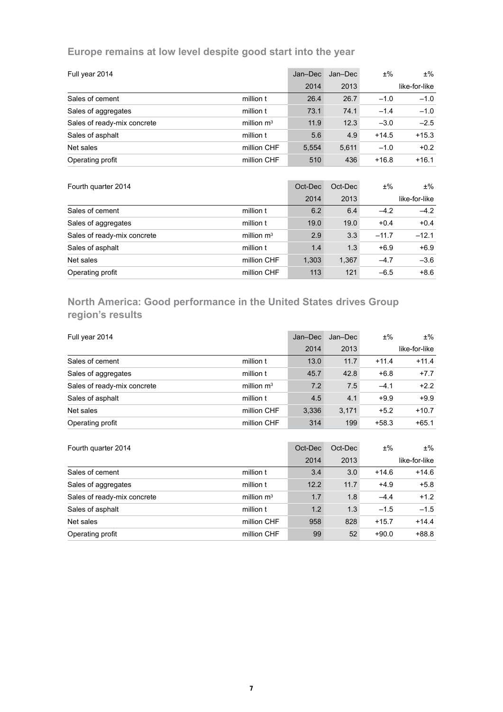## **Europe remains at low level despite good start into the year**

| Full year 2014              |              | Jan-Dec | Jan-Dec | $±\%$   | $±\%$         |
|-----------------------------|--------------|---------|---------|---------|---------------|
|                             |              | 2014    | 2013    |         | like-for-like |
| Sales of cement             | million t    | 26.4    | 26.7    | $-1.0$  | $-1.0$        |
| Sales of aggregates         | million t    | 73.1    | 74.1    | $-1.4$  | $-1.0$        |
| Sales of ready-mix concrete | million $m3$ | 11.9    | 12.3    | $-3.0$  | $-2.5$        |
| Sales of asphalt            | million t    | 5.6     | 4.9     | $+14.5$ | $+15.3$       |
| Net sales                   | million CHF  | 5.554   | 5.611   | $-1.0$  | $+0.2$        |
| Operating profit            | million CHF  | 510     | 436     | $+16.8$ | $+16.1$       |

| Fourth quarter 2014         |              | Oct-Dec | Oct-Dec | $±\%$   | $±\%$         |
|-----------------------------|--------------|---------|---------|---------|---------------|
|                             |              | 2014    | 2013    |         | like-for-like |
| Sales of cement             | million t    | 6.2     | 6.4     | $-4.2$  | $-4.2$        |
| Sales of aggregates         | million t    | 19.0    | 19.0    | $+0.4$  | $+0.4$        |
| Sales of ready-mix concrete | million $m3$ | 2.9     | 3.3     | $-11.7$ | $-12.1$       |
| Sales of asphalt            | million t    | 1.4     | 1.3     | $+6.9$  | $+6.9$        |
| Net sales                   | million CHF  | 1,303   | 1,367   | $-4.7$  | $-3.6$        |
| Operating profit            | million CHF  | 113     | 121     | $-6.5$  | $+8.6$        |

# **North America: Good performance in the United States drives Group region's results**

| Full year 2014              |              | Jan-Dec | Jan-Dec | $±\%$   | $±\%$         |
|-----------------------------|--------------|---------|---------|---------|---------------|
|                             |              | 2014    | 2013    |         | like-for-like |
| Sales of cement             | million t    | 13.0    | 11.7    | $+11.4$ | $+11.4$       |
| Sales of aggregates         | million t    | 45.7    | 42.8    | $+6.8$  | $+7.7$        |
| Sales of ready-mix concrete | million $m3$ | 7.2     | 7.5     | $-4.1$  | $+2.2$        |
| Sales of asphalt            | million t    | 4.5     | 4.1     | $+9.9$  | $+9.9$        |
| Net sales                   | million CHF  | 3,336   | 3,171   | $+5.2$  | $+10.7$       |
| Operating profit            | million CHF  | 314     | 199     | $+58.3$ | $+65.1$       |
|                             |              |         |         |         |               |
| Fourth quarter 2014         |              | Oct-Dec | Oct-Dec | $±\%$   | $±\%$         |
|                             |              | 2014    | 2013    |         | like-for-like |
| Sales of cement             | million t    | 3.4     | 3.0     | $+14.6$ | $+14.6$       |
| Sales of aggregates         | million t    | 12.2    | 11.7    | $+4.9$  | $+5.8$        |
| Sales of ready-mix concrete | million $m3$ | 1.7     | 1.8     | $-4.4$  | $+1.2$        |
| Sales of asphalt            | million t    | 1.2     | 1.3     | $-1.5$  | $-1.5$        |
| Net sales                   | million CHF  | 958     | 828     | $+15.7$ | $+14.4$       |
| Operating profit            | million CHF  | 99      | 52      | $+90.0$ | $+88.8$       |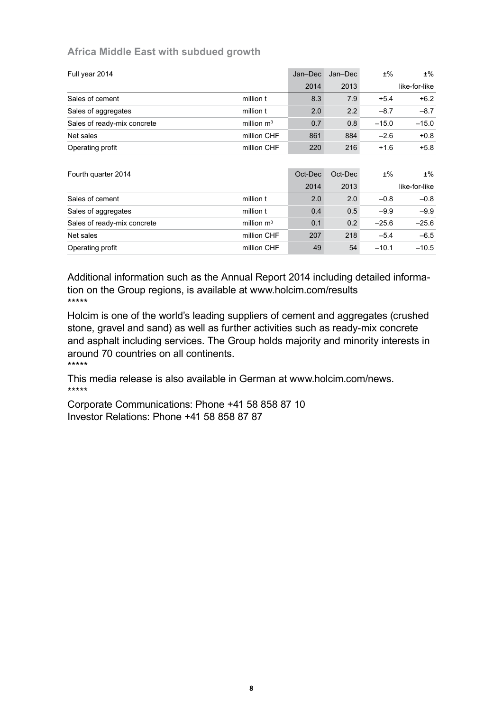#### **Africa Middle East with subdued growth**

| Full year 2014              |              | Jan-Dec | Jan-Dec | $±\%$   | $±\%$         |
|-----------------------------|--------------|---------|---------|---------|---------------|
|                             |              | 2014    | 2013    |         | like-for-like |
| Sales of cement             | million t    | 8.3     | 7.9     | $+5.4$  | $+6.2$        |
| Sales of aggregates         | million t    | 2.0     | 2.2     | $-8.7$  | $-8.7$        |
| Sales of ready-mix concrete | million $m3$ | 0.7     | 0.8     | $-15.0$ | $-15.0$       |
| Net sales                   | million CHF  | 861     | 884     | $-2.6$  | $+0.8$        |
| Operating profit            | million CHF  | 220     | 216     | $+1.6$  | $+5.8$        |
|                             |              |         |         |         |               |
| Fourth quarter 2014         |              | Oct-Dec | Oct-Dec | $±\%$   | $±\%$         |
|                             |              | 2014    | 2013    |         | like-for-like |
| Sales of cement             | million t    | 2.0     | 2.0     | $-0.8$  | $-0.8$        |
| Sales of aggregates         | million t    | 0.4     | 0.5     | $-9.9$  | $-9.9$        |
| Sales of ready-mix concrete | million $m3$ | 0.1     | 0.2     | $-25.6$ | $-25.6$       |
| Net sales                   | million CHF  | 207     | 218     | $-5.4$  | $-6.5$        |
| Operating profit            | million CHF  | 49      | 54      | $-10.1$ | $-10.5$       |

Additional information such as the Annual Report 2014 including detailed information on the Group regions, is available at www.holcim.com/results \*\*\*\*\*

Holcim is one of the world's leading suppliers of cement and aggregates (crushed stone, gravel and sand) as well as further activities such as ready-mix concrete and asphalt including services. The Group holds majority and minority interests in around 70 countries on all continents. \*\*\*\*\*

This media release is also available in German at www.holcim.com/news. \*\*\*\*\*

Corporate Communications: Phone +41 58 858 87 10 Investor Relations: Phone +41 58 858 87 87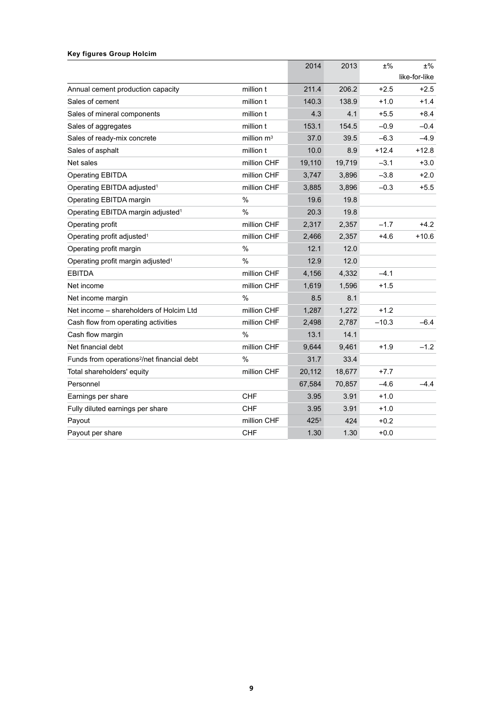#### **Key figures Group Holcim**

|                                                        |               | 2014             | 2013   | $±\%$   | $±\%$         |
|--------------------------------------------------------|---------------|------------------|--------|---------|---------------|
|                                                        |               |                  |        |         | like-for-like |
| Annual cement production capacity                      | million t     | 211.4            | 206.2  | $+2.5$  | $+2.5$        |
| Sales of cement                                        | million t     | 140.3            | 138.9  | $+1.0$  | $+1.4$        |
| Sales of mineral components                            | million t     | 4.3              | 4.1    | $+5.5$  | $+8.4$        |
| Sales of aggregates                                    | million t     | 153.1            | 154.5  | $-0.9$  | $-0.4$        |
| Sales of ready-mix concrete                            | million $m3$  | 37.0             | 39.5   | $-6.3$  | $-4.9$        |
| Sales of asphalt                                       | million t     | 10.0             | 8.9    | $+12.4$ | $+12.8$       |
| Net sales                                              | million CHF   | 19,110           | 19,719 | $-3.1$  | $+3.0$        |
| <b>Operating EBITDA</b>                                | million CHF   | 3,747            | 3,896  | $-3.8$  | $+2.0$        |
| Operating EBITDA adjusted <sup>1</sup>                 | million CHF   | 3,885            | 3,896  | $-0.3$  | $+5.5$        |
| Operating EBITDA margin                                | $\frac{0}{0}$ | 19.6             | 19.8   |         |               |
| Operating EBITDA margin adjusted <sup>1</sup>          | %             | 20.3             | 19.8   |         |               |
| Operating profit                                       | million CHF   | 2,317            | 2,357  | $-1.7$  | $+4.2$        |
| Operating profit adjusted <sup>1</sup>                 | million CHF   | 2,466            | 2,357  | $+4.6$  | $+10.6$       |
| Operating profit margin                                | %             | 12.1             | 12.0   |         |               |
| Operating profit margin adjusted <sup>1</sup>          | %             | 12.9             | 12.0   |         |               |
| <b>EBITDA</b>                                          | million CHF   | 4,156            | 4,332  | $-4.1$  |               |
| Net income                                             | million CHF   | 1,619            | 1,596  | $+1.5$  |               |
| Net income margin                                      | $\frac{0}{0}$ | 8.5              | 8.1    |         |               |
| Net income – shareholders of Holcim Ltd                | million CHF   | 1.287            | 1.272  | $+1.2$  |               |
| Cash flow from operating activities                    | million CHF   | 2,498            | 2,787  | $-10.3$ | $-6.4$        |
| Cash flow margin                                       | $\frac{0}{0}$ | 13.1             | 14.1   |         |               |
| Net financial debt                                     | million CHF   | 9,644            | 9,461  | $+1.9$  | $-1.2$        |
| Funds from operations <sup>2</sup> /net financial debt | %             | 31.7             | 33.4   |         |               |
| Total shareholders' equity                             | million CHF   | 20,112           | 18,677 | $+7.7$  |               |
| Personnel                                              |               | 67,584           | 70,857 | $-4.6$  | $-4.4$        |
| Earnings per share                                     | <b>CHF</b>    | 3.95             | 3.91   | $+1.0$  |               |
| Fully diluted earnings per share                       | <b>CHF</b>    | 3.95             | 3.91   | $+1.0$  |               |
| Payout                                                 | million CHF   | 425 <sup>3</sup> | 424    | $+0.2$  |               |
| Payout per share                                       | <b>CHF</b>    | 1.30             | 1.30   | $+0.0$  |               |
|                                                        |               |                  |        |         |               |